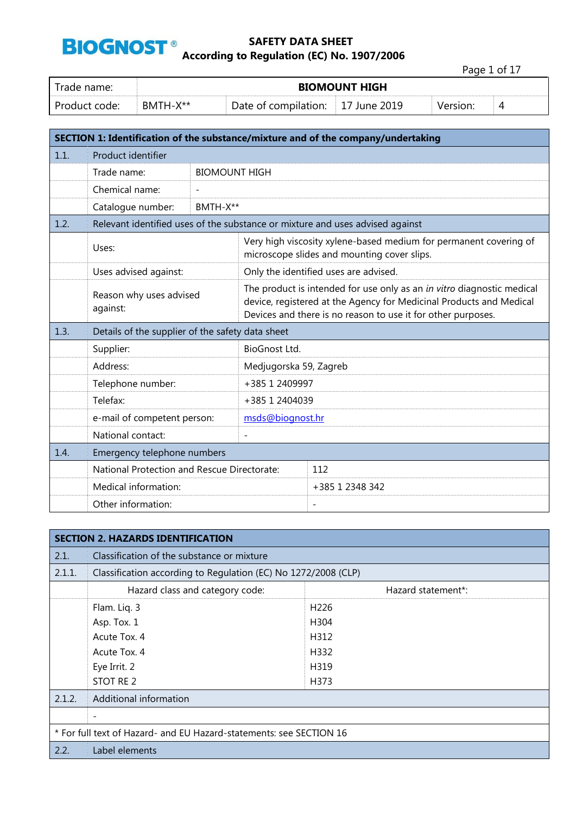

Page 1 of 17

| Trade name:   |          | <b>BIOMOUNT HIGH</b>              |  |          |   |  |  |
|---------------|----------|-----------------------------------|--|----------|---|--|--|
| Product code: | RMTH-X** | Date of compilation: 17 June 2019 |  | Version: | ◢ |  |  |

|      |                                                                               |                      |                                                                                                                                                                                                               | SECTION 1: Identification of the substance/mixture and of the company/undertaking                                |  |  |
|------|-------------------------------------------------------------------------------|----------------------|---------------------------------------------------------------------------------------------------------------------------------------------------------------------------------------------------------------|------------------------------------------------------------------------------------------------------------------|--|--|
| 1.1. | Product identifier                                                            |                      |                                                                                                                                                                                                               |                                                                                                                  |  |  |
|      | Trade name:                                                                   | <b>BIOMOUNT HIGH</b> |                                                                                                                                                                                                               |                                                                                                                  |  |  |
|      | Chemical name:                                                                |                      |                                                                                                                                                                                                               |                                                                                                                  |  |  |
|      | Catalogue number:                                                             | BMTH-X**             |                                                                                                                                                                                                               |                                                                                                                  |  |  |
| 1.2. | Relevant identified uses of the substance or mixture and uses advised against |                      |                                                                                                                                                                                                               |                                                                                                                  |  |  |
|      | Uses:                                                                         |                      |                                                                                                                                                                                                               | Very high viscosity xylene-based medium for permanent covering of<br>microscope slides and mounting cover slips. |  |  |
|      | Uses advised against:                                                         |                      |                                                                                                                                                                                                               | Only the identified uses are advised.                                                                            |  |  |
|      | Reason why uses advised<br>against:                                           |                      | The product is intended for use only as an in vitro diagnostic medical<br>device, registered at the Agency for Medicinal Products and Medical<br>Devices and there is no reason to use it for other purposes. |                                                                                                                  |  |  |
| 1.3. | Details of the supplier of the safety data sheet                              |                      |                                                                                                                                                                                                               |                                                                                                                  |  |  |
|      | Supplier:                                                                     |                      | BioGnost Ltd.                                                                                                                                                                                                 |                                                                                                                  |  |  |
|      | Address:                                                                      |                      | Medjugorska 59, Zagreb                                                                                                                                                                                        |                                                                                                                  |  |  |
|      | Telephone number:                                                             |                      | +385 1 2409997                                                                                                                                                                                                |                                                                                                                  |  |  |
|      | Telefax:                                                                      |                      | +385 1 2404039                                                                                                                                                                                                |                                                                                                                  |  |  |
|      | e-mail of competent person:                                                   |                      | msds@biognost.hr                                                                                                                                                                                              |                                                                                                                  |  |  |
|      | National contact:                                                             |                      | $\overline{a}$                                                                                                                                                                                                |                                                                                                                  |  |  |
| 1.4. | Emergency telephone numbers                                                   |                      |                                                                                                                                                                                                               |                                                                                                                  |  |  |
|      | National Protection and Rescue Directorate:                                   |                      |                                                                                                                                                                                                               | 112                                                                                                              |  |  |
|      | Medical information:                                                          |                      |                                                                                                                                                                                                               | +385 1 2348 342                                                                                                  |  |  |
|      | Other information:                                                            |                      |                                                                                                                                                                                                               | $\overline{\phantom{a}}$                                                                                         |  |  |

|        | <b>SECTION 2. HAZARDS IDENTIFICATION</b>                            |                  |  |  |  |  |  |
|--------|---------------------------------------------------------------------|------------------|--|--|--|--|--|
| 2.1.   | Classification of the substance or mixture                          |                  |  |  |  |  |  |
| 2.1.1. | Classification according to Regulation (EC) No 1272/2008 (CLP)      |                  |  |  |  |  |  |
|        | Hazard statement*:<br>Hazard class and category code:               |                  |  |  |  |  |  |
|        | Flam. Liq. 3                                                        | H <sub>226</sub> |  |  |  |  |  |
|        | Asp. Tox. 1<br>H304                                                 |                  |  |  |  |  |  |
|        | Acute Tox. 4<br>H312                                                |                  |  |  |  |  |  |
|        | Acute Tox. 4                                                        | H332             |  |  |  |  |  |
|        | Eye Irrit. 2                                                        | H319             |  |  |  |  |  |
|        | STOT RE 2                                                           | H373             |  |  |  |  |  |
| 2.1.2. | Additional information                                              |                  |  |  |  |  |  |
|        | $\overline{\phantom{a}}$                                            |                  |  |  |  |  |  |
|        | * For full text of Hazard- and EU Hazard-statements: see SECTION 16 |                  |  |  |  |  |  |
| 2.2.   | Label elements                                                      |                  |  |  |  |  |  |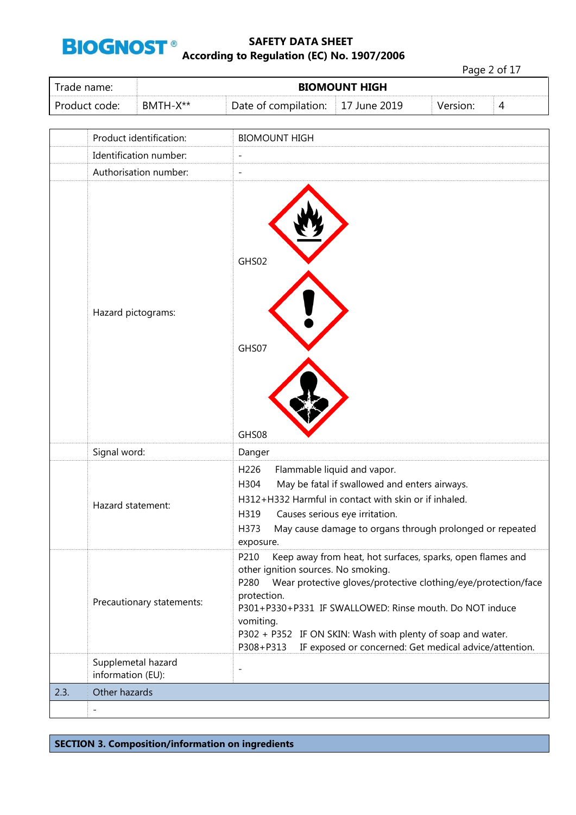

Page 2 of 17

| Trade name:   | <b>BIOMOUNT HIGH</b> |                                           |  |          |   |
|---------------|----------------------|-------------------------------------------|--|----------|---|
| Product code: | $BMTH-X**$           | Date of compilation: $\vert$ 17 June 2019 |  | Version: | 4 |

|      | Product identification:                 | <b>BIOMOUNT HIGH</b>                                                                                                                                                                                                                                                                                                                                                                                             |
|------|-----------------------------------------|------------------------------------------------------------------------------------------------------------------------------------------------------------------------------------------------------------------------------------------------------------------------------------------------------------------------------------------------------------------------------------------------------------------|
|      | Identification number:                  | $\overline{a}$                                                                                                                                                                                                                                                                                                                                                                                                   |
|      | Authorisation number:                   | $\overline{a}$                                                                                                                                                                                                                                                                                                                                                                                                   |
|      | Hazard pictograms:                      | GHS02<br>GHS07<br>GHS08                                                                                                                                                                                                                                                                                                                                                                                          |
|      | Signal word:                            | Danger                                                                                                                                                                                                                                                                                                                                                                                                           |
|      | Hazard statement:                       | H226<br>Flammable liquid and vapor.<br>May be fatal if swallowed and enters airways.<br>H304<br>H312+H332 Harmful in contact with skin or if inhaled.<br>Causes serious eye irritation.<br>H319<br>May cause damage to organs through prolonged or repeated<br>H373<br>exposure.                                                                                                                                 |
|      | Precautionary statements:               | P210<br>Keep away from heat, hot surfaces, sparks, open flames and<br>other ignition sources. No smoking.<br>Wear protective gloves/protective clothing/eye/protection/face<br>P280<br>protection.<br>P301+P330+P331 IF SWALLOWED: Rinse mouth. Do NOT induce<br>vomiting.<br>P302 + P352 IF ON SKIN: Wash with plenty of soap and water.<br>IF exposed or concerned: Get medical advice/attention.<br>P308+P313 |
|      | Supplemetal hazard<br>information (EU): | $\overline{\phantom{0}}$                                                                                                                                                                                                                                                                                                                                                                                         |
| 2.3. | Other hazards                           |                                                                                                                                                                                                                                                                                                                                                                                                                  |
|      | $\overline{\phantom{a}}$                |                                                                                                                                                                                                                                                                                                                                                                                                                  |

**SECTION 3. Composition/information on ingredients**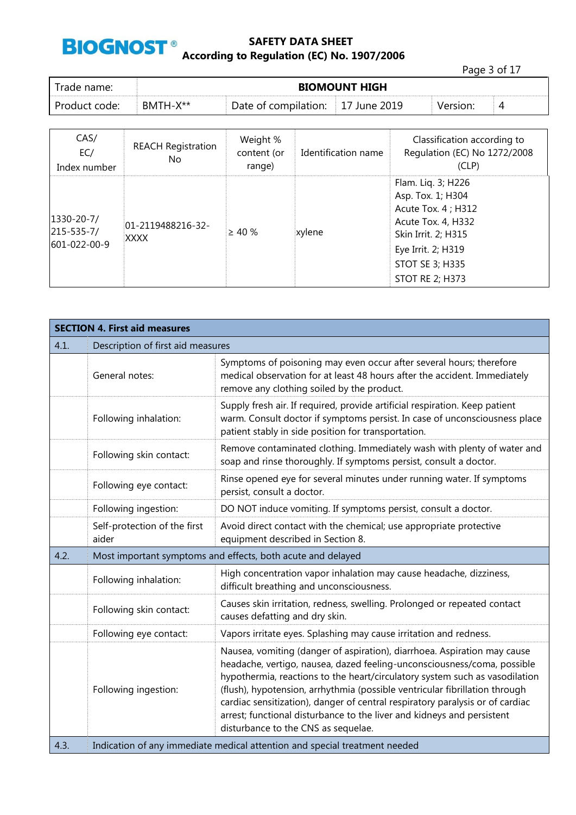

|               |                      |                                   |  | Page 3 of 17 |   |
|---------------|----------------------|-----------------------------------|--|--------------|---|
| Trade name:   | <b>BIOMOUNT HIGH</b> |                                   |  |              |   |
| Product code: | BMTH-X**             | Date of compilation: 17 June 2019 |  | Version:     | 4 |

| CAS/<br>EC/<br>Index number                    | <b>REACH Registration</b><br>No. | Weight %<br>content (or<br>range) | Identification name | Classification according to<br>Regulation (EC) No 1272/2008<br>(CLP)                                                                                                                  |
|------------------------------------------------|----------------------------------|-----------------------------------|---------------------|---------------------------------------------------------------------------------------------------------------------------------------------------------------------------------------|
| $1330 - 20 - 7/$<br>215-535-7/<br>601-022-00-9 | 01-2119488216-32-<br>XXXX        | $\geq 40 \%$                      | xylene              | Flam. Liq. 3; H226<br>Asp. Tox. 1; H304<br>Acute Tox. 4 ; H312<br>Acute Tox. 4, H332<br>Skin Irrit. 2; H315<br>Eye Irrit. 2; H319<br><b>STOT SE 3; H335</b><br><b>STOT RE 2; H373</b> |

|      | <b>SECTION 4. First aid measures</b>                        |                                                                                                                                                                                                                                                                                                                                                                                                                                                                                                                     |  |  |  |
|------|-------------------------------------------------------------|---------------------------------------------------------------------------------------------------------------------------------------------------------------------------------------------------------------------------------------------------------------------------------------------------------------------------------------------------------------------------------------------------------------------------------------------------------------------------------------------------------------------|--|--|--|
| 4.1. | Description of first aid measures                           |                                                                                                                                                                                                                                                                                                                                                                                                                                                                                                                     |  |  |  |
|      | General notes:                                              | Symptoms of poisoning may even occur after several hours; therefore<br>medical observation for at least 48 hours after the accident. Immediately<br>remove any clothing soiled by the product.                                                                                                                                                                                                                                                                                                                      |  |  |  |
|      | Following inhalation:                                       | Supply fresh air. If required, provide artificial respiration. Keep patient<br>warm. Consult doctor if symptoms persist. In case of unconsciousness place<br>patient stably in side position for transportation.                                                                                                                                                                                                                                                                                                    |  |  |  |
|      | Following skin contact:                                     | Remove contaminated clothing. Immediately wash with plenty of water and<br>soap and rinse thoroughly. If symptoms persist, consult a doctor.                                                                                                                                                                                                                                                                                                                                                                        |  |  |  |
|      | Following eye contact:                                      | Rinse opened eye for several minutes under running water. If symptoms<br>persist, consult a doctor.                                                                                                                                                                                                                                                                                                                                                                                                                 |  |  |  |
|      | Following ingestion:                                        | DO NOT induce vomiting. If symptoms persist, consult a doctor.                                                                                                                                                                                                                                                                                                                                                                                                                                                      |  |  |  |
|      | Self-protection of the first<br>aider                       | Avoid direct contact with the chemical; use appropriate protective<br>equipment described in Section 8.                                                                                                                                                                                                                                                                                                                                                                                                             |  |  |  |
| 4.2. | Most important symptoms and effects, both acute and delayed |                                                                                                                                                                                                                                                                                                                                                                                                                                                                                                                     |  |  |  |
|      | Following inhalation:                                       | High concentration vapor inhalation may cause headache, dizziness,<br>difficult breathing and unconsciousness.                                                                                                                                                                                                                                                                                                                                                                                                      |  |  |  |
|      | Following skin contact:                                     | Causes skin irritation, redness, swelling. Prolonged or repeated contact<br>causes defatting and dry skin.                                                                                                                                                                                                                                                                                                                                                                                                          |  |  |  |
|      | Following eye contact:                                      | Vapors irritate eyes. Splashing may cause irritation and redness.                                                                                                                                                                                                                                                                                                                                                                                                                                                   |  |  |  |
|      | Following ingestion:                                        | Nausea, vomiting (danger of aspiration), diarrhoea. Aspiration may cause<br>headache, vertigo, nausea, dazed feeling-unconsciousness/coma, possible<br>hypothermia, reactions to the heart/circulatory system such as vasodilation<br>(flush), hypotension, arrhythmia (possible ventricular fibrillation through<br>cardiac sensitization), danger of central respiratory paralysis or of cardiac<br>arrest; functional disturbance to the liver and kidneys and persistent<br>disturbance to the CNS as sequelae. |  |  |  |
| 4.3. |                                                             | Indication of any immediate medical attention and special treatment needed                                                                                                                                                                                                                                                                                                                                                                                                                                          |  |  |  |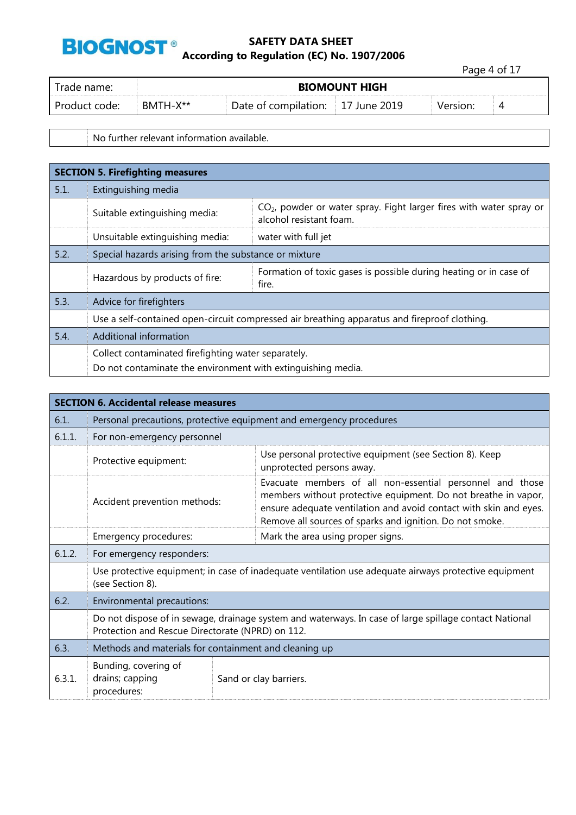

Page 4 of 17

| Trade name:   |          | <b>BIOMOUNT HIGH</b>              |  |          |  |  |  |
|---------------|----------|-----------------------------------|--|----------|--|--|--|
| Product code: | BMTH-X** | Date of compilation: 17 June 2019 |  | Version: |  |  |  |

No further relevant information available.

|      | <b>SECTION 5. Firefighting measures</b>                      |                                                                                                  |  |  |  |
|------|--------------------------------------------------------------|--------------------------------------------------------------------------------------------------|--|--|--|
| 5.1. | Extinguishing media                                          |                                                                                                  |  |  |  |
|      | Suitable extinguishing media:                                | $CO2$ , powder or water spray. Fight larger fires with water spray or<br>alcohol resistant foam. |  |  |  |
|      | Unsuitable extinguishing media:                              | water with full jet                                                                              |  |  |  |
| 5.2. | Special hazards arising from the substance or mixture        |                                                                                                  |  |  |  |
|      | Hazardous by products of fire:                               | Formation of toxic gases is possible during heating or in case of<br>fire.                       |  |  |  |
| 5.3. | Advice for firefighters                                      |                                                                                                  |  |  |  |
|      |                                                              | Use a self-contained open-circuit compressed air breathing apparatus and fireproof clothing.     |  |  |  |
| 5.4. | Additional information                                       |                                                                                                  |  |  |  |
|      | Collect contaminated firefighting water separately.          |                                                                                                  |  |  |  |
|      | Do not contaminate the environment with extinguishing media. |                                                                                                  |  |  |  |

|        | <b>SECTION 6. Accidental release measures</b>                                                                                                              |                                                                                                                                                                                                                                                              |  |  |  |
|--------|------------------------------------------------------------------------------------------------------------------------------------------------------------|--------------------------------------------------------------------------------------------------------------------------------------------------------------------------------------------------------------------------------------------------------------|--|--|--|
| 6.1.   | Personal precautions, protective equipment and emergency procedures                                                                                        |                                                                                                                                                                                                                                                              |  |  |  |
| 6.1.1. | For non-emergency personnel                                                                                                                                |                                                                                                                                                                                                                                                              |  |  |  |
|        | Protective equipment:                                                                                                                                      | Use personal protective equipment (see Section 8). Keep<br>unprotected persons away.                                                                                                                                                                         |  |  |  |
|        | Accident prevention methods:                                                                                                                               | Evacuate members of all non-essential personnel and those<br>members without protective equipment. Do not breathe in vapor,<br>ensure adequate ventilation and avoid contact with skin and eyes.<br>Remove all sources of sparks and ignition. Do not smoke. |  |  |  |
|        | Emergency procedures:                                                                                                                                      | Mark the area using proper signs.                                                                                                                                                                                                                            |  |  |  |
| 6.1.2. | For emergency responders:                                                                                                                                  |                                                                                                                                                                                                                                                              |  |  |  |
|        | Use protective equipment; in case of inadequate ventilation use adequate airways protective equipment<br>(see Section 8).                                  |                                                                                                                                                                                                                                                              |  |  |  |
| 6.2.   | Environmental precautions:                                                                                                                                 |                                                                                                                                                                                                                                                              |  |  |  |
|        | Do not dispose of in sewage, drainage system and waterways. In case of large spillage contact National<br>Protection and Rescue Directorate (NPRD) on 112. |                                                                                                                                                                                                                                                              |  |  |  |
| 6.3.   | Methods and materials for containment and cleaning up                                                                                                      |                                                                                                                                                                                                                                                              |  |  |  |
| 6.3.1. | Bunding, covering of<br>drains; capping<br>procedures:                                                                                                     | Sand or clay barriers.                                                                                                                                                                                                                                       |  |  |  |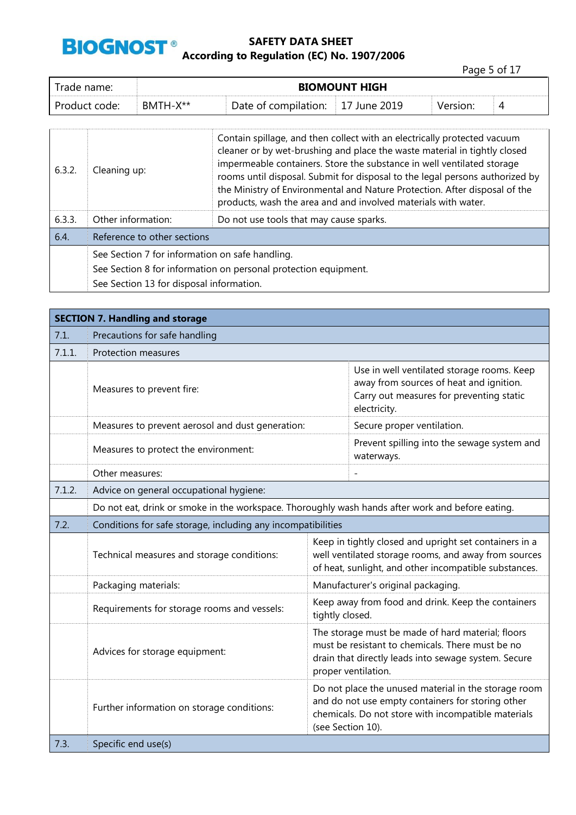

Page 5 of 17

| Trade name:   | <b>BIOMOUNT HIGH</b> |                      |                    |          |   |
|---------------|----------------------|----------------------|--------------------|----------|---|
| Product code: | BMTH-X**             | Date of compilation: | $\pm 17$ June 2019 | Version: | ↵ |

| 6.3.2. | Cleaning up:                                                    | Contain spillage, and then collect with an electrically protected vacuum<br>cleaner or by wet-brushing and place the waste material in tightly closed<br>impermeable containers. Store the substance in well ventilated storage<br>rooms until disposal. Submit for disposal to the legal persons authorized by<br>the Ministry of Environmental and Nature Protection. After disposal of the<br>products, wash the area and and involved materials with water. |  |  |
|--------|-----------------------------------------------------------------|-----------------------------------------------------------------------------------------------------------------------------------------------------------------------------------------------------------------------------------------------------------------------------------------------------------------------------------------------------------------------------------------------------------------------------------------------------------------|--|--|
| 6.3.3. | Other information:                                              | Do not use tools that may cause sparks.                                                                                                                                                                                                                                                                                                                                                                                                                         |  |  |
| 6.4.   | Reference to other sections                                     |                                                                                                                                                                                                                                                                                                                                                                                                                                                                 |  |  |
|        | See Section 7 for information on safe handling.                 |                                                                                                                                                                                                                                                                                                                                                                                                                                                                 |  |  |
|        | See Section 8 for information on personal protection equipment. |                                                                                                                                                                                                                                                                                                                                                                                                                                                                 |  |  |
|        | See Section 13 for disposal information.                        |                                                                                                                                                                                                                                                                                                                                                                                                                                                                 |  |  |

|        | <b>SECTION 7. Handling and storage</b>                                                           |                                                                                                                                                                                       |                                                                                                                                                                         |  |  |
|--------|--------------------------------------------------------------------------------------------------|---------------------------------------------------------------------------------------------------------------------------------------------------------------------------------------|-------------------------------------------------------------------------------------------------------------------------------------------------------------------------|--|--|
| 7.1.   | Precautions for safe handling                                                                    |                                                                                                                                                                                       |                                                                                                                                                                         |  |  |
| 7.1.1. | <b>Protection measures</b>                                                                       |                                                                                                                                                                                       |                                                                                                                                                                         |  |  |
|        | Measures to prevent fire:                                                                        |                                                                                                                                                                                       | Use in well ventilated storage rooms. Keep<br>away from sources of heat and ignition.<br>Carry out measures for preventing static<br>electricity.                       |  |  |
|        | Measures to prevent aerosol and dust generation:                                                 |                                                                                                                                                                                       | Secure proper ventilation.                                                                                                                                              |  |  |
|        | Measures to protect the environment:                                                             |                                                                                                                                                                                       | Prevent spilling into the sewage system and<br>waterways.                                                                                                               |  |  |
|        | Other measures:                                                                                  |                                                                                                                                                                                       |                                                                                                                                                                         |  |  |
| 7.1.2. | Advice on general occupational hygiene:                                                          |                                                                                                                                                                                       |                                                                                                                                                                         |  |  |
|        | Do not eat, drink or smoke in the workspace. Thoroughly wash hands after work and before eating. |                                                                                                                                                                                       |                                                                                                                                                                         |  |  |
| 7.2.   | Conditions for safe storage, including any incompatibilities                                     |                                                                                                                                                                                       |                                                                                                                                                                         |  |  |
|        | Technical measures and storage conditions:                                                       |                                                                                                                                                                                       | Keep in tightly closed and upright set containers in a<br>well ventilated storage rooms, and away from sources<br>of heat, sunlight, and other incompatible substances. |  |  |
|        | Packaging materials:                                                                             |                                                                                                                                                                                       | Manufacturer's original packaging.                                                                                                                                      |  |  |
|        | Requirements for storage rooms and vessels:                                                      | tightly closed.                                                                                                                                                                       | Keep away from food and drink. Keep the containers                                                                                                                      |  |  |
|        | Advices for storage equipment:                                                                   | The storage must be made of hard material; floors<br>must be resistant to chemicals. There must be no<br>drain that directly leads into sewage system. Secure<br>proper ventilation.  |                                                                                                                                                                         |  |  |
|        | Further information on storage conditions:                                                       | Do not place the unused material in the storage room<br>and do not use empty containers for storing other<br>chemicals. Do not store with incompatible materials<br>(see Section 10). |                                                                                                                                                                         |  |  |
| 7.3.   | Specific end use(s)                                                                              |                                                                                                                                                                                       |                                                                                                                                                                         |  |  |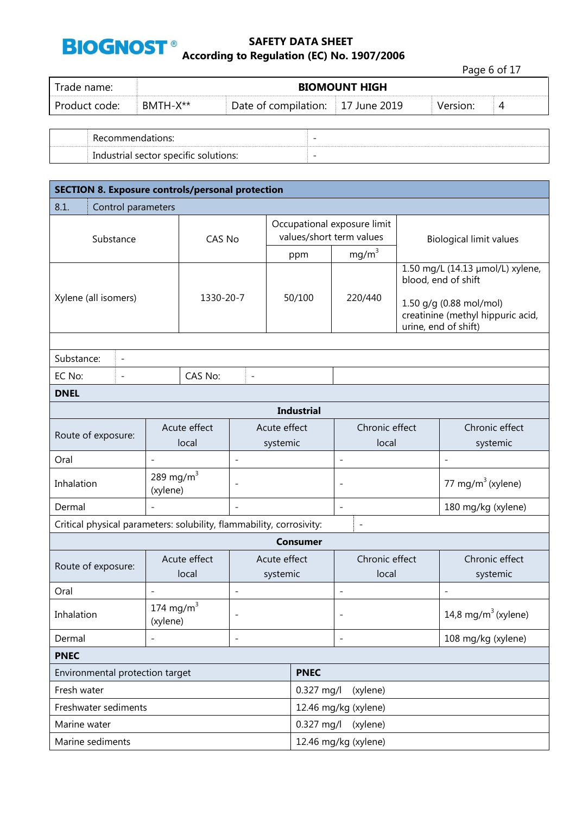

Page 6 of 17

| Trade name:   | <b>BIOMOUNT HIGH</b> |                                   |  |          |   |  |
|---------------|----------------------|-----------------------------------|--|----------|---|--|
| Product code: | BMTH-X**             | Date of compilation: 17 June 2019 |  | Version: | 4 |  |
|               |                      |                                   |  |          |   |  |

| Recommendations:                         |  |
|------------------------------------------|--|
| sector specific solutions:<br>Industrial |  |

| <b>SECTION 8. Exposure controls/personal protection</b>              |                          |                       |                          |                          |                                                         |                              |                                |  |                                                                                                                                                 |
|----------------------------------------------------------------------|--------------------------|-----------------------|--------------------------|--------------------------|---------------------------------------------------------|------------------------------|--------------------------------|--|-------------------------------------------------------------------------------------------------------------------------------------------------|
| 8.1.<br>Control parameters                                           |                          |                       |                          |                          |                                                         |                              |                                |  |                                                                                                                                                 |
| Substance                                                            |                          | CAS No                |                          |                          | Occupational exposure limit<br>values/short term values |                              | <b>Biological limit values</b> |  |                                                                                                                                                 |
|                                                                      |                          |                       |                          |                          | ppm                                                     |                              | mg/m <sup>3</sup>              |  |                                                                                                                                                 |
| Xylene (all isomers)                                                 |                          | 1330-20-7             |                          |                          | 50/100                                                  |                              | 220/440                        |  | 1.50 mg/L (14.13 µmol/L) xylene,<br>blood, end of shift<br>1.50 g/g (0.88 mol/mol)<br>creatinine (methyl hippuric acid,<br>urine, end of shift) |
|                                                                      |                          |                       |                          |                          |                                                         |                              |                                |  |                                                                                                                                                 |
| Substance:<br>$\overline{\phantom{a}}$                               |                          |                       |                          |                          |                                                         |                              |                                |  |                                                                                                                                                 |
| EC No:<br>$\overline{\phantom{a}}$                                   |                          | CAS No:               | $\overline{\phantom{a}}$ |                          |                                                         |                              |                                |  |                                                                                                                                                 |
| <b>DNEL</b>                                                          |                          |                       |                          |                          |                                                         |                              |                                |  |                                                                                                                                                 |
| <b>Industrial</b>                                                    |                          |                       |                          |                          |                                                         |                              |                                |  |                                                                                                                                                 |
| Route of exposure:                                                   |                          | Acute effect<br>local | Acute effect<br>systemic |                          |                                                         |                              | Chronic effect<br>local        |  | Chronic effect<br>systemic                                                                                                                      |
| Oral                                                                 |                          |                       | $\overline{\phantom{a}}$ |                          |                                                         | $\overline{\phantom{a}}$     |                                |  | $\overline{\phantom{a}}$                                                                                                                        |
| Inhalation                                                           | 289 mg/m $3$<br>(xylene) |                       | $\overline{\phantom{a}}$ |                          |                                                         | L,                           |                                |  | 77 mg/m <sup>3</sup> (xylene)                                                                                                                   |
| Dermal                                                               | $\overline{\phantom{a}}$ |                       | $\overline{\phantom{a}}$ |                          |                                                         | $\qquad \qquad \blacksquare$ |                                |  | 180 mg/kg (xylene)                                                                                                                              |
| Critical physical parameters: solubility, flammability, corrosivity: |                          |                       |                          |                          |                                                         |                              | $\qquad \qquad -$              |  |                                                                                                                                                 |
|                                                                      |                          |                       |                          |                          | <b>Consumer</b>                                         |                              |                                |  |                                                                                                                                                 |
| Route of exposure:                                                   |                          | Acute effect<br>local |                          | Acute effect<br>systemic |                                                         |                              | Chronic effect<br>local        |  | Chronic effect<br>systemic                                                                                                                      |
| Oral                                                                 | $\overline{\phantom{a}}$ |                       | $\overline{\phantom{a}}$ |                          |                                                         | ÷,                           |                                |  | $\overline{\phantom{a}}$                                                                                                                        |
| Inhalation                                                           | 174 mg/m $3$<br>(xylene) |                       |                          |                          |                                                         |                              |                                |  | 14,8 mg/m $3$ (xylene)                                                                                                                          |
| Dermal                                                               |                          |                       | $\overline{\phantom{a}}$ |                          |                                                         |                              |                                |  | 108 mg/kg (xylene)                                                                                                                              |
| <b>PNEC</b>                                                          |                          |                       |                          |                          |                                                         |                              |                                |  |                                                                                                                                                 |
| Environmental protection target                                      |                          |                       |                          |                          | <b>PNEC</b>                                             |                              |                                |  |                                                                                                                                                 |
| Fresh water                                                          |                          |                       |                          | $0.327$ mg/l<br>(xylene) |                                                         |                              |                                |  |                                                                                                                                                 |
| Freshwater sediments                                                 |                          |                       |                          |                          | 12.46 mg/kg (xylene)                                    |                              |                                |  |                                                                                                                                                 |
| Marine water                                                         |                          |                       |                          |                          | 0.327 mg/l<br>(xylene)                                  |                              |                                |  |                                                                                                                                                 |
| Marine sediments                                                     |                          |                       |                          |                          | 12.46 mg/kg (xylene)                                    |                              |                                |  |                                                                                                                                                 |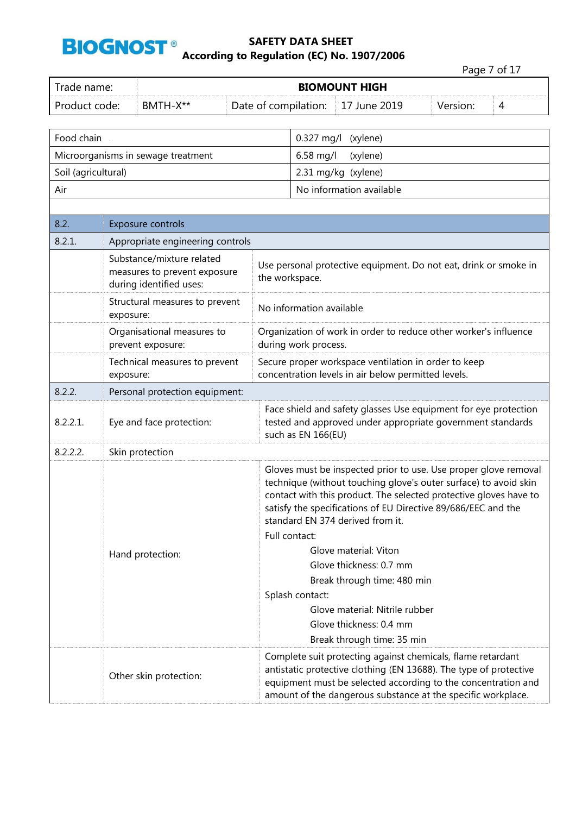

|                                                   |           |                                                                                                                                                       |  |                                                                                                                                                     |                                  |                                                                                                                                                                                                                                                                           |                                                                                                                                                                                                    | Page 7 of 17 |
|---------------------------------------------------|-----------|-------------------------------------------------------------------------------------------------------------------------------------------------------|--|-----------------------------------------------------------------------------------------------------------------------------------------------------|----------------------------------|---------------------------------------------------------------------------------------------------------------------------------------------------------------------------------------------------------------------------------------------------------------------------|----------------------------------------------------------------------------------------------------------------------------------------------------------------------------------------------------|--------------|
| Trade name:                                       |           |                                                                                                                                                       |  |                                                                                                                                                     |                                  | <b>BIOMOUNT HIGH</b>                                                                                                                                                                                                                                                      |                                                                                                                                                                                                    |              |
| Product code:<br>BMTH-X**<br>Date of compilation: |           |                                                                                                                                                       |  |                                                                                                                                                     | 17 June 2019                     | Version:                                                                                                                                                                                                                                                                  | 4                                                                                                                                                                                                  |              |
| Food chain                                        |           |                                                                                                                                                       |  |                                                                                                                                                     | $0.327$ mg/l                     | (xylene)                                                                                                                                                                                                                                                                  |                                                                                                                                                                                                    |              |
|                                                   |           | Microorganisms in sewage treatment                                                                                                                    |  |                                                                                                                                                     | 6.58 mg/l                        | (xylene)                                                                                                                                                                                                                                                                  |                                                                                                                                                                                                    |              |
| Soil (agricultural)                               |           |                                                                                                                                                       |  |                                                                                                                                                     |                                  | 2.31 mg/kg (xylene)                                                                                                                                                                                                                                                       |                                                                                                                                                                                                    |              |
| Air                                               |           |                                                                                                                                                       |  |                                                                                                                                                     |                                  | No information available                                                                                                                                                                                                                                                  |                                                                                                                                                                                                    |              |
|                                                   |           |                                                                                                                                                       |  |                                                                                                                                                     |                                  |                                                                                                                                                                                                                                                                           |                                                                                                                                                                                                    |              |
| 8.2.                                              |           | Exposure controls                                                                                                                                     |  |                                                                                                                                                     |                                  |                                                                                                                                                                                                                                                                           |                                                                                                                                                                                                    |              |
| 8.2.1.                                            |           | Appropriate engineering controls                                                                                                                      |  |                                                                                                                                                     |                                  |                                                                                                                                                                                                                                                                           |                                                                                                                                                                                                    |              |
|                                                   |           | Substance/mixture related<br>measures to prevent exposure<br>during identified uses:                                                                  |  | the workspace.                                                                                                                                      |                                  |                                                                                                                                                                                                                                                                           | Use personal protective equipment. Do not eat, drink or smoke in                                                                                                                                   |              |
|                                                   | exposure: | Structural measures to prevent                                                                                                                        |  |                                                                                                                                                     | No information available         |                                                                                                                                                                                                                                                                           |                                                                                                                                                                                                    |              |
|                                                   |           | Organisational measures to<br>prevent exposure:                                                                                                       |  | Organization of work in order to reduce other worker's influence<br>during work process.                                                            |                                  |                                                                                                                                                                                                                                                                           |                                                                                                                                                                                                    |              |
|                                                   | exposure: | Technical measures to prevent                                                                                                                         |  | Secure proper workspace ventilation in order to keep<br>concentration levels in air below permitted levels.                                         |                                  |                                                                                                                                                                                                                                                                           |                                                                                                                                                                                                    |              |
| 8.2.2.                                            |           | Personal protection equipment:                                                                                                                        |  |                                                                                                                                                     |                                  |                                                                                                                                                                                                                                                                           |                                                                                                                                                                                                    |              |
| 8.2.2.1.                                          |           | Eye and face protection:                                                                                                                              |  | Face shield and safety glasses Use equipment for eye protection<br>tested and approved under appropriate government standards<br>such as EN 166(EU) |                                  |                                                                                                                                                                                                                                                                           |                                                                                                                                                                                                    |              |
| 8.2.2.2.                                          |           | Skin protection                                                                                                                                       |  |                                                                                                                                                     |                                  |                                                                                                                                                                                                                                                                           |                                                                                                                                                                                                    |              |
|                                                   |           |                                                                                                                                                       |  |                                                                                                                                                     | standard EN 374 derived from it. | Gloves must be inspected prior to use. Use proper glove removal<br>technique (without touching glove's outer surface) to avoid skin<br>contact with this product. The selected protective gloves have to<br>satisfy the specifications of EU Directive 89/686/EEC and the |                                                                                                                                                                                                    |              |
| Hand protection:                                  |           | Full contact:<br>Glove material: Viton<br>Glove thickness: 0.7 mm<br>Break through time: 480 min<br>Splash contact:<br>Glove material: Nitrile rubber |  |                                                                                                                                                     |                                  |                                                                                                                                                                                                                                                                           |                                                                                                                                                                                                    |              |
|                                                   |           |                                                                                                                                                       |  |                                                                                                                                                     |                                  | Glove thickness: 0.4 mm<br>Break through time: 35 min                                                                                                                                                                                                                     | Complete suit protecting against chemicals, flame retardant                                                                                                                                        |              |
|                                                   |           | Other skin protection:                                                                                                                                |  |                                                                                                                                                     |                                  |                                                                                                                                                                                                                                                                           | antistatic protective clothing (EN 13688). The type of protective<br>equipment must be selected according to the concentration and<br>amount of the dangerous substance at the specific workplace. |              |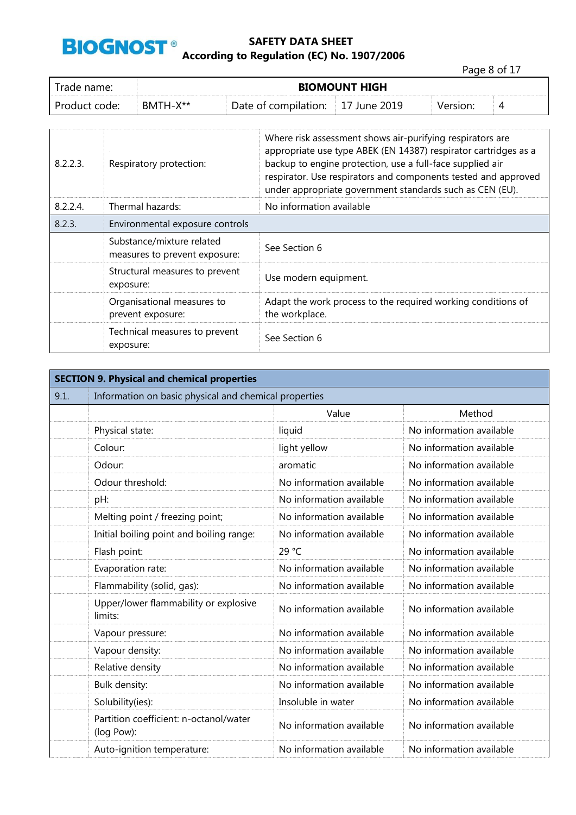

Page 8 of 17

| rade name:    | <b>BIOMOUNT HIGH</b> |                      |           |  |   |
|---------------|----------------------|----------------------|-----------|--|---|
| Product code: | BMTH-X**             | Date of compilation: | June 2019 |  | ∸ |

| 8.2.2.3. | Respiratory protection:                                    | Where risk assessment shows air-purifying respirators are<br>appropriate use type ABEK (EN 14387) respirator cartridges as a<br>backup to engine protection, use a full-face supplied air<br>respirator. Use respirators and components tested and approved<br>under appropriate government standards such as CEN (EU). |
|----------|------------------------------------------------------------|-------------------------------------------------------------------------------------------------------------------------------------------------------------------------------------------------------------------------------------------------------------------------------------------------------------------------|
| 8.2.2.4  | Thermal hazards:                                           | No information available                                                                                                                                                                                                                                                                                                |
| 8.2.3.   | Environmental exposure controls                            |                                                                                                                                                                                                                                                                                                                         |
|          | Substance/mixture related<br>measures to prevent exposure: | See Section 6                                                                                                                                                                                                                                                                                                           |
|          | Structural measures to prevent<br>exposure:                | Use modern equipment.                                                                                                                                                                                                                                                                                                   |
|          | Organisational measures to<br>prevent exposure:            | Adapt the work process to the required working conditions of<br>the workplace.                                                                                                                                                                                                                                          |
|          | Technical measures to prevent<br>exposure:                 | See Section 6                                                                                                                                                                                                                                                                                                           |

| <b>SECTION 9. Physical and chemical properties</b> |                                                       |                          |                          |  |
|----------------------------------------------------|-------------------------------------------------------|--------------------------|--------------------------|--|
| 9.1.                                               | Information on basic physical and chemical properties |                          |                          |  |
|                                                    |                                                       | Value                    | Method                   |  |
|                                                    | Physical state:                                       | liquid                   | No information available |  |
|                                                    | Colour:                                               | light yellow             | No information available |  |
|                                                    | Odour:                                                | aromatic                 | No information available |  |
|                                                    | Odour threshold:                                      | No information available | No information available |  |
|                                                    | pH:                                                   | No information available | No information available |  |
|                                                    | Melting point / freezing point;                       | No information available | No information available |  |
|                                                    | Initial boiling point and boiling range:              | No information available | No information available |  |
|                                                    | Flash point:                                          | 29 °C                    | No information available |  |
|                                                    | Evaporation rate:                                     | No information available | No information available |  |
|                                                    | Flammability (solid, gas):                            | No information available | No information available |  |
|                                                    | Upper/lower flammability or explosive<br>limits:      | No information available | No information available |  |
|                                                    | Vapour pressure:                                      | No information available | No information available |  |
|                                                    | Vapour density:                                       | No information available | No information available |  |
|                                                    | Relative density                                      | No information available | No information available |  |
|                                                    | Bulk density:                                         | No information available | No information available |  |
|                                                    | Solubility(ies):                                      | Insoluble in water       | No information available |  |
|                                                    | Partition coefficient: n-octanol/water<br>(log Pow):  | No information available | No information available |  |
|                                                    | Auto-ignition temperature:                            | No information available | No information available |  |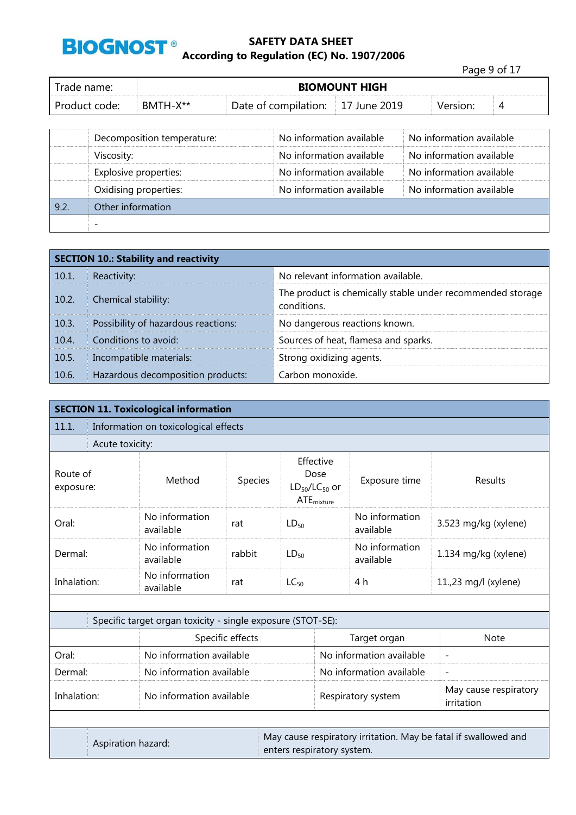

|               |          |                                   |                      | Page 9 of 17 |   |
|---------------|----------|-----------------------------------|----------------------|--------------|---|
| Trade name: I |          |                                   | <b>BIOMOUNT HIGH</b> |              |   |
| Product code: | BMTH-X** | Date of compilation: 17 June 2019 |                      | Version:     | 4 |

|      | Decomposition temperature: | No information available | No information available |
|------|----------------------------|--------------------------|--------------------------|
|      | Viscosity:                 | No information available | No information available |
|      | Explosive properties:      | No information available | No information available |
|      | Oxidising properties:      | No information available | No information available |
| 9.2. | Other information          |                          |                          |
|      |                            |                          |                          |

|               | <b>SECTION 10.: Stability and reactivity</b> |                                                                           |  |  |
|---------------|----------------------------------------------|---------------------------------------------------------------------------|--|--|
| 10.1.         | Reactivity:                                  | No relevant information available.                                        |  |  |
| $\vert$ 10.2. | Chemical stability:                          | The product is chemically stable under recommended storage<br>conditions. |  |  |
| 10.3.         | Possibility of hazardous reactions:          | No dangerous reactions known.                                             |  |  |
| 10.4.         | Conditions to avoid:                         | Sources of heat, flamesa and sparks.                                      |  |  |
| 10.5.         | Incompatible materials:                      | Strong oxidizing agents.                                                  |  |  |
| $\vert$ 10.6. | Hazardous decomposition products:            | Carbon monoxide.                                                          |  |  |

|                                         | <b>SECTION 11. Toxicological information</b>       |                                                             |                  |                                                                                               |                      |                                     |                          |  |  |  |
|-----------------------------------------|----------------------------------------------------|-------------------------------------------------------------|------------------|-----------------------------------------------------------------------------------------------|----------------------|-------------------------------------|--------------------------|--|--|--|
| 11.1.                                   | Information on toxicological effects               |                                                             |                  |                                                                                               |                      |                                     |                          |  |  |  |
|                                         | Acute toxicity:                                    |                                                             |                  |                                                                                               |                      |                                     |                          |  |  |  |
| Route of<br>Method<br>exposure:         |                                                    | Species                                                     |                  | Effective<br>Dose<br>Exposure time<br>$LD_{50}/LC_{50}$ or<br>$ATE_{mixture}$                 |                      | Results                             |                          |  |  |  |
| Oral:                                   |                                                    | No information<br>available                                 | rat              | $LD_{50}$                                                                                     |                      | No information<br>available         | 3.523 mg/kg (xylene)     |  |  |  |
| Dermal:                                 | No information<br>rabbit<br>$LD_{50}$<br>available |                                                             |                  | No information<br>available                                                                   | 1.134 mg/kg (xylene) |                                     |                          |  |  |  |
|                                         | No information<br>Inhalation:<br>rat<br>available  |                                                             |                  | $LC_{50}$                                                                                     |                      | 4 h                                 | 11.,23 mg/l (xylene)     |  |  |  |
|                                         |                                                    |                                                             |                  |                                                                                               |                      |                                     |                          |  |  |  |
|                                         |                                                    | Specific target organ toxicity - single exposure (STOT-SE): |                  |                                                                                               |                      |                                     |                          |  |  |  |
|                                         |                                                    |                                                             | Specific effects |                                                                                               |                      | Target organ                        | <b>Note</b>              |  |  |  |
| Oral:                                   |                                                    | No information available                                    |                  |                                                                                               |                      | No information available            | $\overline{\phantom{a}}$ |  |  |  |
| Dermal:                                 |                                                    | No information available                                    |                  |                                                                                               |                      | No information available            | $\overline{\phantom{a}}$ |  |  |  |
| Inhalation:<br>No information available |                                                    |                                                             |                  |                                                                                               | Respiratory system   | May cause respiratory<br>irritation |                          |  |  |  |
|                                         |                                                    |                                                             |                  |                                                                                               |                      |                                     |                          |  |  |  |
| Aspiration hazard:                      |                                                    |                                                             |                  | May cause respiratory irritation. May be fatal if swallowed and<br>enters respiratory system. |                      |                                     |                          |  |  |  |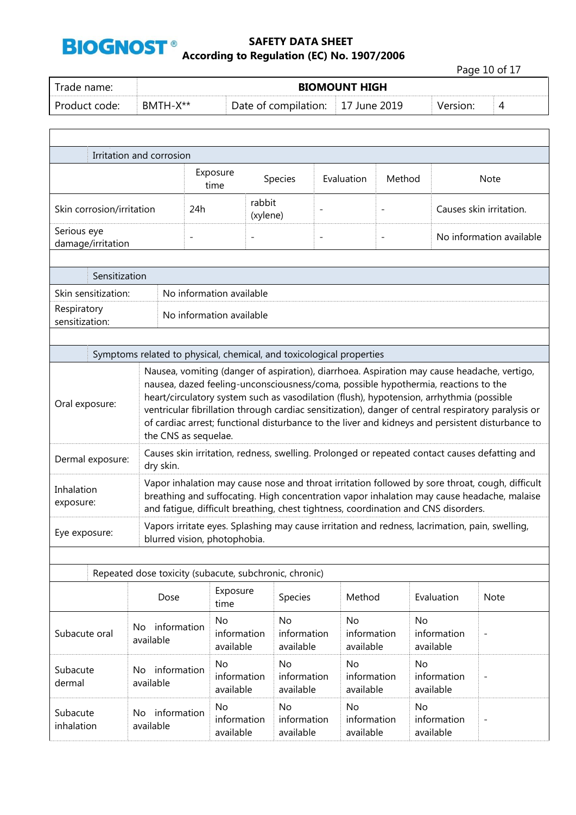

Page 10 of 17

| Trade name:   |          | <b>BIOMOUNT HIGH</b>              |  |          |  |  |  |  |
|---------------|----------|-----------------------------------|--|----------|--|--|--|--|
| Product code: | RMTH-X** | Date of compilation: 17 June 2019 |  | Version: |  |  |  |  |

|                                                                                                                                                                                                                                                                                                                                                                                                                                                                                                                                    | Irritation and corrosion                                                                                                                |                              |                          |                                       |                                       |                          |                                                                                    |                                                                                                                                                                                               |
|------------------------------------------------------------------------------------------------------------------------------------------------------------------------------------------------------------------------------------------------------------------------------------------------------------------------------------------------------------------------------------------------------------------------------------------------------------------------------------------------------------------------------------|-----------------------------------------------------------------------------------------------------------------------------------------|------------------------------|--------------------------|---------------------------------------|---------------------------------------|--------------------------|------------------------------------------------------------------------------------|-----------------------------------------------------------------------------------------------------------------------------------------------------------------------------------------------|
|                                                                                                                                                                                                                                                                                                                                                                                                                                                                                                                                    |                                                                                                                                         | Exposure<br>time             |                          | Species                               | Evaluation                            | Method                   |                                                                                    | <b>Note</b>                                                                                                                                                                                   |
| Skin corrosion/irritation                                                                                                                                                                                                                                                                                                                                                                                                                                                                                                          |                                                                                                                                         | 24h                          | rabbit<br>(xylene)       |                                       |                                       |                          |                                                                                    | Causes skin irritation.                                                                                                                                                                       |
| Serious eye<br>damage/irritation                                                                                                                                                                                                                                                                                                                                                                                                                                                                                                   |                                                                                                                                         | $\overline{\phantom{0}}$     | $\overline{a}$           |                                       | $\overline{\phantom{a}}$              | $\overline{\phantom{a}}$ |                                                                                    | No information available                                                                                                                                                                      |
| Sensitization                                                                                                                                                                                                                                                                                                                                                                                                                                                                                                                      |                                                                                                                                         |                              |                          |                                       |                                       |                          |                                                                                    |                                                                                                                                                                                               |
| Skin sensitization:                                                                                                                                                                                                                                                                                                                                                                                                                                                                                                                |                                                                                                                                         | No information available     |                          |                                       |                                       |                          |                                                                                    |                                                                                                                                                                                               |
| Respiratory<br>sensitization:                                                                                                                                                                                                                                                                                                                                                                                                                                                                                                      |                                                                                                                                         | No information available     |                          |                                       |                                       |                          |                                                                                    |                                                                                                                                                                                               |
|                                                                                                                                                                                                                                                                                                                                                                                                                                                                                                                                    |                                                                                                                                         |                              |                          |                                       |                                       |                          |                                                                                    |                                                                                                                                                                                               |
|                                                                                                                                                                                                                                                                                                                                                                                                                                                                                                                                    | Symptoms related to physical, chemical, and toxicological properties                                                                    |                              |                          |                                       |                                       |                          |                                                                                    |                                                                                                                                                                                               |
| Nausea, vomiting (danger of aspiration), diarrhoea. Aspiration may cause headache, vertigo,<br>nausea, dazed feeling-unconsciousness/coma, possible hypothermia, reactions to the<br>heart/circulatory system such as vasodilation (flush), hypotension, arrhythmia (possible<br>Oral exposure:<br>ventricular fibrillation through cardiac sensitization), danger of central respiratory paralysis or<br>of cardiac arrest; functional disturbance to the liver and kidneys and persistent disturbance to<br>the CNS as sequelae. |                                                                                                                                         |                              |                          |                                       |                                       |                          |                                                                                    |                                                                                                                                                                                               |
| Dermal exposure:                                                                                                                                                                                                                                                                                                                                                                                                                                                                                                                   | dry skin.                                                                                                                               |                              |                          |                                       |                                       |                          |                                                                                    | Causes skin irritation, redness, swelling. Prolonged or repeated contact causes defatting and                                                                                                 |
| Inhalation<br>exposure:                                                                                                                                                                                                                                                                                                                                                                                                                                                                                                            |                                                                                                                                         |                              |                          |                                       |                                       |                          | and fatigue, difficult breathing, chest tightness, coordination and CNS disorders. | Vapor inhalation may cause nose and throat irritation followed by sore throat, cough, difficult<br>breathing and suffocating. High concentration vapor inhalation may cause headache, malaise |
| Eye exposure:                                                                                                                                                                                                                                                                                                                                                                                                                                                                                                                      |                                                                                                                                         | blurred vision, photophobia. |                          |                                       |                                       |                          |                                                                                    | Vapors irritate eyes. Splashing may cause irritation and redness, lacrimation, pain, swelling,                                                                                                |
|                                                                                                                                                                                                                                                                                                                                                                                                                                                                                                                                    |                                                                                                                                         |                              |                          |                                       |                                       |                          |                                                                                    |                                                                                                                                                                                               |
|                                                                                                                                                                                                                                                                                                                                                                                                                                                                                                                                    | Repeated dose toxicity (subacute, subchronic, chronic)                                                                                  |                              |                          |                                       |                                       |                          |                                                                                    |                                                                                                                                                                                               |
|                                                                                                                                                                                                                                                                                                                                                                                                                                                                                                                                    | Dose                                                                                                                                    | time                         | Exposure                 | Species                               | Method                                |                          | Evaluation                                                                         | Note                                                                                                                                                                                          |
| Subacute oral                                                                                                                                                                                                                                                                                                                                                                                                                                                                                                                      | No<br>No<br>No<br>No<br>No information<br>information<br>information<br>information<br>available<br>available<br>available<br>available |                              | information<br>available |                                       |                                       |                          |                                                                                    |                                                                                                                                                                                               |
| Subacute<br>dermal                                                                                                                                                                                                                                                                                                                                                                                                                                                                                                                 | information<br>No.<br>available                                                                                                         | <b>No</b>                    | information<br>available | <b>No</b><br>information<br>available | <b>No</b><br>information<br>available |                          | <b>No</b><br>information<br>available                                              | $\overline{\phantom{0}}$                                                                                                                                                                      |
| Subacute<br>inhalation                                                                                                                                                                                                                                                                                                                                                                                                                                                                                                             | No information<br>available                                                                                                             | <b>No</b>                    | information<br>available | <b>No</b><br>information<br>available | <b>No</b><br>information<br>available |                          | <b>No</b><br>information<br>available                                              |                                                                                                                                                                                               |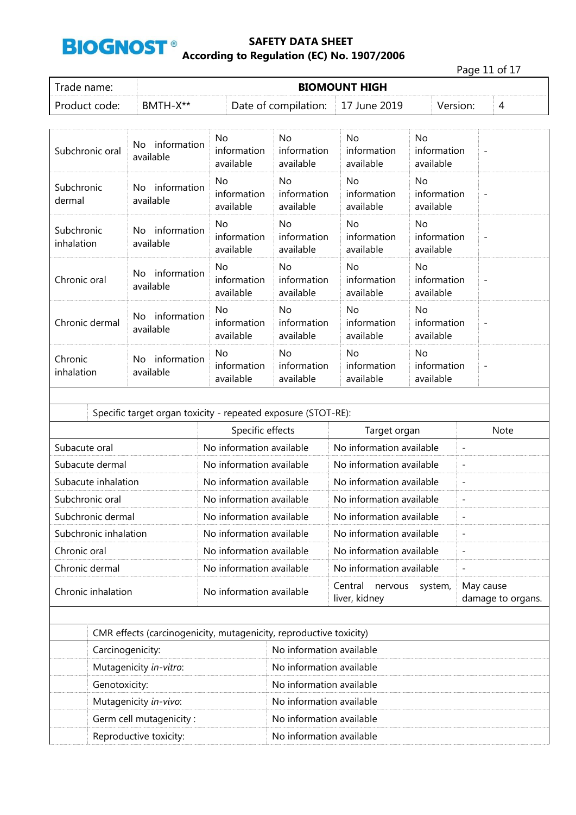

Page 11 of 17

| Trade name:   |            |                                   |  |          |  |
|---------------|------------|-----------------------------------|--|----------|--|
| Product code: | $RMTH-X**$ | Date of compilation: 17 June 2019 |  | Version: |  |

| Subchronic oral          | information<br>No.<br>available | No<br>information<br>available  | No<br>information<br>available        | No.<br>information<br>available            | No<br>information<br>available        | $\overline{\phantom{a}}$ |
|--------------------------|---------------------------------|---------------------------------|---------------------------------------|--------------------------------------------|---------------------------------------|--------------------------|
| Subchronic<br>dermal     | information<br>No.<br>available | No.<br>information<br>available | No<br>information<br>available        | No.<br>information<br>available            | No.<br>information<br>available       |                          |
| Subchronic<br>inhalation | information<br>No.<br>available | No.<br>information<br>available | No<br>information<br>available        | No.<br>information<br>available            | No.<br>information<br>available       | $\overline{\phantom{a}}$ |
| Chronic oral             | information<br>No.<br>available | No.<br>information<br>available | No<br>information<br>available        | No.<br>information<br>available            | <b>No</b><br>information<br>available | $\overline{\phantom{a}}$ |
| Chronic dermal           | information<br>No.<br>available | No<br>information<br>available  | <b>No</b><br>information<br>available | N <sub>o</sub><br>information<br>available | <b>No</b><br>information<br>available | $\overline{\phantom{a}}$ |
| Chronic<br>inhalation    | information<br>No.<br>available | No<br>information<br>available  | No<br>information<br>available        | No.<br>information<br>available            | No.<br>information<br>available       |                          |

| Specific target organ toxicity - repeated exposure (STOT-RE): |                          |                                                |                                |  |  |  |  |  |
|---------------------------------------------------------------|--------------------------|------------------------------------------------|--------------------------------|--|--|--|--|--|
|                                                               | Specific effects         | Target organ                                   | Note                           |  |  |  |  |  |
| Subacute oral                                                 | No information available | No information available                       | $\overline{\phantom{a}}$       |  |  |  |  |  |
| Subacute dermal                                               | No information available | No information available                       | $\overline{\phantom{a}}$       |  |  |  |  |  |
| Subacute inhalation                                           | No information available | No information available                       | $\overline{\phantom{a}}$       |  |  |  |  |  |
| Subchronic oral                                               | No information available | No information available                       | $\overline{\phantom{a}}$       |  |  |  |  |  |
| Subchronic dermal                                             | No information available | No information available                       | $\overline{\phantom{a}}$       |  |  |  |  |  |
| Subchronic inhalation                                         | No information available | No information available                       | $\overline{\phantom{a}}$       |  |  |  |  |  |
| Chronic oral                                                  | No information available | No information available                       | $\overline{\phantom{a}}$       |  |  |  |  |  |
| Chronic dermal                                                | No information available | No information available                       | $\overline{\phantom{a}}$       |  |  |  |  |  |
| Chronic inhalation                                            | No information available | Central<br>nervous<br>system,<br>liver, kidney | May cause<br>damage to organs. |  |  |  |  |  |
|                                                               |                          |                                                |                                |  |  |  |  |  |

| CMR effects (carcinogenicity, mutagenicity, reproductive toxicity) |                          |
|--------------------------------------------------------------------|--------------------------|
| Carcinogenicity:                                                   | No information available |
| Mutagenicity in-vitro:                                             | No information available |
| Genotoxicity:                                                      | No information available |
| Mutagenicity in-vivo:                                              | No information available |
| Germ cell mutagenicity:                                            | No information available |
| Reproductive toxicity:                                             | No information available |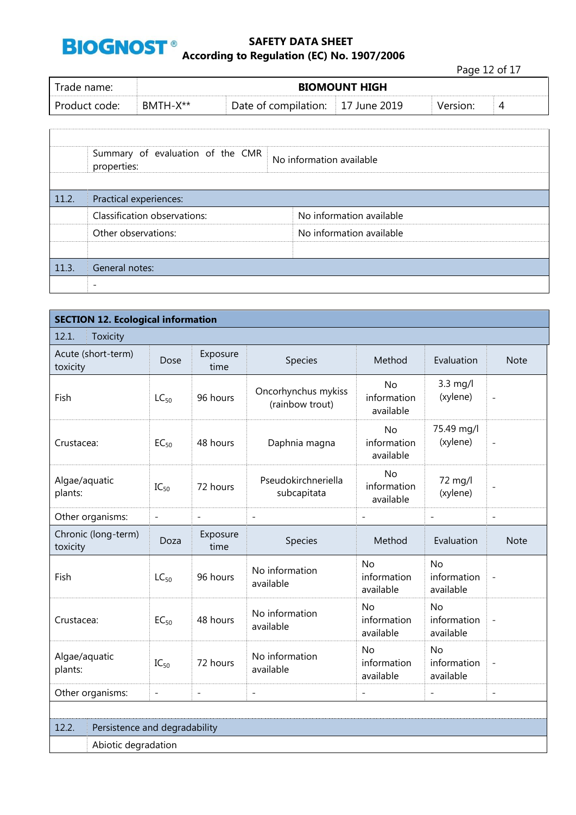

Page 12 of 17

| Trade name:   |          |                      | <b>BIOMOUNT HIGH</b> |          |   |
|---------------|----------|----------------------|----------------------|----------|---|
| Product code: | BMTH-X** | Date of compilation: | June 2019            | Version: | ൧ |

|       | Summary of evaluation of the CMR<br>properties: | No information available |  |  |  |  |  |
|-------|-------------------------------------------------|--------------------------|--|--|--|--|--|
| 11.2. | Practical experiences:                          |                          |  |  |  |  |  |
|       | Classification observations:                    | No information available |  |  |  |  |  |
|       | Other observations:                             | No information available |  |  |  |  |  |
|       |                                                 |                          |  |  |  |  |  |
| 11.3. | General notes:                                  |                          |  |  |  |  |  |
|       |                                                 |                          |  |  |  |  |  |

| <b>SECTION 12. Ecological information</b>                  |                          |                          |                                        |                                                               |                                       |                          |  |  |  |
|------------------------------------------------------------|--------------------------|--------------------------|----------------------------------------|---------------------------------------------------------------|---------------------------------------|--------------------------|--|--|--|
| 12.1.<br><b>Toxicity</b>                                   |                          |                          |                                        |                                                               |                                       |                          |  |  |  |
| Acute (short-term)<br>Exposure<br>Dose<br>toxicity<br>time |                          | Species                  | Method                                 | Evaluation                                                    | <b>Note</b>                           |                          |  |  |  |
| Fish                                                       | $LC_{50}$                | 96 hours                 | Oncorhynchus mykiss<br>(rainbow trout) | 3.3 mg/l<br><b>No</b><br>(xylene)<br>information<br>available |                                       | $\overline{\phantom{a}}$ |  |  |  |
| Crustacea:                                                 | $EC_{50}$                | 48 hours                 | Daphnia magna                          | <b>No</b><br>information<br>available                         | 75.49 mg/l<br>(xylene)                | $\qquad \qquad -$        |  |  |  |
| Algae/aquatic<br>plants:                                   | $IC_{50}$                | 72 hours                 | Pseudokirchneriella<br>subcapitata     | <b>No</b><br>information<br>available                         | 72 mg/l<br>(xylene)                   | $\overline{\phantom{m}}$ |  |  |  |
| Other organisms:                                           | $\overline{a}$           | $\overline{\phantom{a}}$ | $\overline{a}$                         | $\overline{a}$                                                | $\overline{\phantom{a}}$              | $\overline{a}$           |  |  |  |
| Chronic (long-term)<br>toxicity                            | Doza                     | Exposure<br>time         | Species                                | Method                                                        | Evaluation                            | <b>Note</b>              |  |  |  |
| Fish                                                       | $LC_{50}$                | 96 hours                 | No information<br>available            | <b>No</b><br>information<br>available                         | <b>No</b><br>information<br>available |                          |  |  |  |
| Crustacea:                                                 | $EC_{50}$                | 48 hours                 | No information<br>available            | <b>No</b><br>information<br>available                         | <b>No</b><br>information<br>available |                          |  |  |  |
| Algae/aquatic<br>plants:                                   | $IC_{50}$                | 72 hours                 | No information<br>available            | <b>No</b><br>information<br>available                         | <b>No</b><br>information<br>available |                          |  |  |  |
| Other organisms:                                           | $\overline{\phantom{0}}$ | $\overline{\phantom{a}}$ | $\overline{\phantom{a}}$               | $\overline{a}$                                                | $\overline{a}$                        | $\overline{\phantom{a}}$ |  |  |  |
|                                                            |                          |                          |                                        |                                                               |                                       |                          |  |  |  |
| 12.2.<br>Persistence and degradability                     |                          |                          |                                        |                                                               |                                       |                          |  |  |  |
| Abiotic degradation                                        |                          |                          |                                        |                                                               |                                       |                          |  |  |  |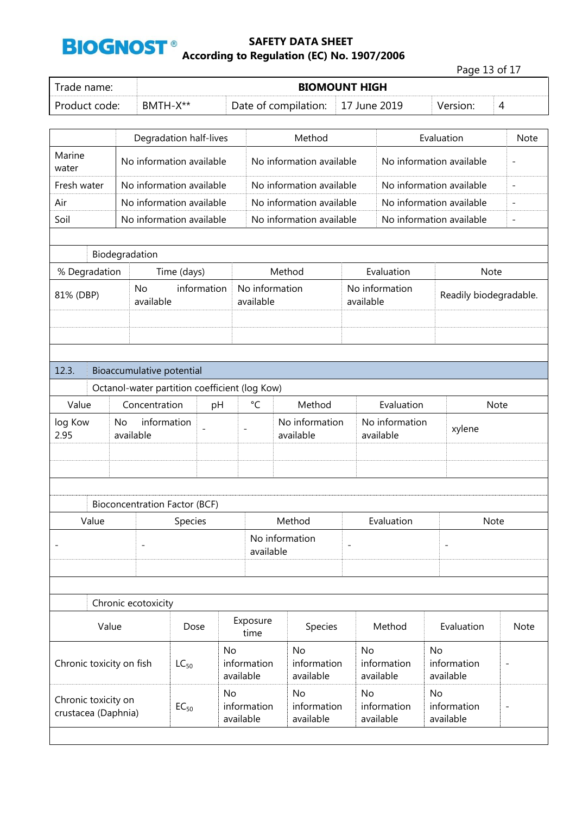

|                                             |       |                           |                                      |                          |                                               |                                      |                          |                             |                          |    | Page 13 of 17            |                          |                          |
|---------------------------------------------|-------|---------------------------|--------------------------------------|--------------------------|-----------------------------------------------|--------------------------------------|--------------------------|-----------------------------|--------------------------|----|--------------------------|--------------------------|--------------------------|
| Trade name:                                 |       |                           |                                      |                          |                                               | <b>BIOMOUNT HIGH</b>                 |                          |                             |                          |    |                          |                          |                          |
| Product code:                               |       | BMTH-X**                  |                                      |                          |                                               | Date of compilation:<br>17 June 2019 |                          |                             |                          |    | Version:                 | 4                        |                          |
|                                             |       |                           |                                      |                          |                                               |                                      |                          |                             |                          |    |                          |                          |                          |
|                                             |       |                           | Degradation half-lives               |                          |                                               | Method                               |                          |                             | Evaluation               |    |                          | <b>Note</b>              |                          |
| Marine<br>No information available<br>water |       |                           |                                      | No information available |                                               |                                      | No information available |                             |                          |    | $\qquad \qquad -$        |                          |                          |
| Fresh water                                 |       |                           | No information available             |                          |                                               | No information available             |                          |                             | No information available |    |                          |                          | $\overline{\phantom{0}}$ |
| Air                                         |       |                           | No information available             |                          |                                               | No information available             |                          |                             | No information available |    |                          |                          | L,                       |
| Soil                                        |       |                           | No information available             |                          |                                               | No information available             |                          |                             | No information available |    |                          |                          | $\overline{\phantom{a}}$ |
|                                             |       |                           |                                      |                          |                                               |                                      |                          |                             |                          |    |                          |                          |                          |
|                                             |       | Biodegradation            |                                      |                          |                                               |                                      |                          |                             |                          |    |                          |                          |                          |
| % Degradation                               |       |                           | Time (days)                          |                          |                                               | Method                               |                          |                             | Evaluation               |    |                          | Note                     |                          |
| 81% (DBP)                                   |       | <b>No</b><br>available    | information                          |                          | No information<br>available                   |                                      |                          | available                   | No information           |    | Readily biodegradable.   |                          |                          |
|                                             |       |                           |                                      |                          |                                               |                                      |                          |                             |                          |    |                          |                          |                          |
|                                             |       |                           |                                      |                          |                                               |                                      |                          |                             |                          |    |                          |                          |                          |
|                                             |       |                           |                                      |                          |                                               |                                      |                          |                             |                          |    |                          |                          |                          |
| 12.3.                                       |       | Bioaccumulative potential |                                      |                          |                                               |                                      |                          |                             |                          |    |                          |                          |                          |
|                                             |       |                           |                                      |                          | Octanol-water partition coefficient (log Kow) |                                      |                          |                             |                          |    |                          |                          |                          |
| Value                                       |       | Concentration             |                                      | pH                       | $\rm ^{\circ}C$<br>Method                     |                                      |                          |                             | Evaluation               |    |                          | <b>Note</b>              |                          |
| log Kow<br>2.95                             | No    | information<br>available  |                                      |                          | No information<br>available                   |                                      |                          | No information<br>available |                          |    | xylene                   |                          |                          |
|                                             |       |                           |                                      |                          |                                               |                                      |                          |                             |                          |    |                          |                          |                          |
|                                             |       |                           |                                      |                          |                                               |                                      |                          |                             |                          |    |                          |                          |                          |
|                                             |       |                           |                                      |                          |                                               |                                      |                          |                             |                          |    |                          |                          |                          |
|                                             |       |                           | <b>Bioconcentration Factor (BCF)</b> |                          |                                               |                                      |                          |                             |                          |    |                          |                          |                          |
| Value                                       |       |                           | Species                              |                          |                                               | Method                               |                          |                             | Evaluation               |    |                          | Note                     |                          |
|                                             |       |                           |                                      |                          |                                               | No information                       |                          |                             |                          |    |                          |                          |                          |
|                                             |       |                           |                                      |                          | available                                     |                                      |                          |                             |                          |    |                          |                          |                          |
|                                             |       |                           |                                      |                          |                                               |                                      |                          |                             |                          |    |                          |                          |                          |
|                                             |       |                           |                                      |                          |                                               |                                      |                          |                             |                          |    |                          |                          |                          |
|                                             |       | Chronic ecotoxicity       |                                      |                          |                                               |                                      |                          |                             |                          |    |                          |                          |                          |
|                                             | Value |                           | Dose                                 |                          | Exposure<br>time                              | Species                              |                          |                             | Method                   |    | Evaluation               |                          | Note                     |
| <b>No</b>                                   |       |                           | <b>No</b>                            |                          | <b>No</b>                                     |                                      | No                       |                             |                          |    |                          |                          |                          |
| Chronic toxicity on fish                    |       |                           | $LC_{50}$                            |                          | information<br>available                      | information<br>available             |                          |                             | information<br>available |    | information<br>available | $\overline{\phantom{0}}$ |                          |
| Chronic toxicity on                         |       |                           |                                      | No                       |                                               | <b>No</b>                            |                          | <b>No</b>                   |                          | No |                          |                          |                          |
| crustacea (Daphnia)                         |       |                           | $EC_{50}$                            |                          | information<br>available                      | information<br>available             |                          |                             | information<br>available |    | information<br>available | $\overline{a}$           |                          |
|                                             |       |                           |                                      |                          |                                               |                                      |                          |                             |                          |    |                          |                          |                          |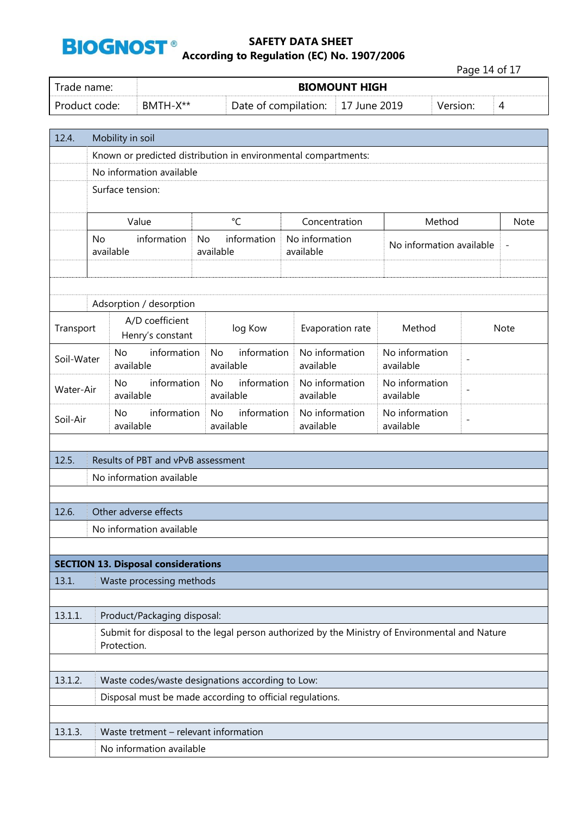

Page 14 of 17

| Trade name:   | <b>BIOMOUNT HIGH</b> |                                   |  |          |  |  |  |
|---------------|----------------------|-----------------------------------|--|----------|--|--|--|
| Product code: | BMTH-X**             | Date of compilation: 17 June 2019 |  | Version: |  |  |  |

| 12.4.                                             | Mobility in soil                                                                                              |                                                                |                                                  |                             |                             |                                               |  |
|---------------------------------------------------|---------------------------------------------------------------------------------------------------------------|----------------------------------------------------------------|--------------------------------------------------|-----------------------------|-----------------------------|-----------------------------------------------|--|
|                                                   |                                                                                                               | Known or predicted distribution in environmental compartments: |                                                  |                             |                             |                                               |  |
|                                                   |                                                                                                               | No information available                                       |                                                  |                             |                             |                                               |  |
|                                                   |                                                                                                               | Surface tension:                                               |                                                  |                             |                             |                                               |  |
|                                                   |                                                                                                               | Value                                                          | $\rm ^{\circ}C$                                  | Concentration               |                             | Method<br><b>Note</b>                         |  |
|                                                   | information<br><b>No</b><br>available                                                                         |                                                                | information<br><b>No</b><br>available            | No information<br>available |                             | No information available<br>$\qquad \qquad -$ |  |
|                                                   |                                                                                                               | Adsorption / desorption                                        |                                                  |                             |                             |                                               |  |
| Transport                                         |                                                                                                               | A/D coefficient<br>Henry's constant                            | log Kow                                          | Evaporation rate            | Method                      | Note                                          |  |
| Soil-Water                                        |                                                                                                               | information<br>No<br>available                                 | information<br><b>No</b><br>available            | No information<br>available | No information<br>available | $\overline{a}$                                |  |
| Water-Air                                         |                                                                                                               | information<br><b>No</b><br>available                          | information<br><b>No</b><br>available            | No information<br>available | No information<br>available | $\overline{\phantom{0}}$                      |  |
| information<br><b>No</b><br>Soil-Air<br>available |                                                                                                               | information<br><b>No</b><br>available                          | No information<br>available                      | No information<br>available | $\overline{\phantom{0}}$    |                                               |  |
|                                                   |                                                                                                               |                                                                |                                                  |                             |                             |                                               |  |
| 12.5.                                             |                                                                                                               | Results of PBT and vPvB assessment                             |                                                  |                             |                             |                                               |  |
|                                                   |                                                                                                               | No information available                                       |                                                  |                             |                             |                                               |  |
|                                                   |                                                                                                               |                                                                |                                                  |                             |                             |                                               |  |
| 12.6.                                             |                                                                                                               | Other adverse effects                                          |                                                  |                             |                             |                                               |  |
|                                                   | No information available                                                                                      |                                                                |                                                  |                             |                             |                                               |  |
|                                                   |                                                                                                               | <b>SECTION 13. Disposal considerations</b>                     |                                                  |                             |                             |                                               |  |
| 13.1.                                             | Waste processing methods                                                                                      |                                                                |                                                  |                             |                             |                                               |  |
|                                                   |                                                                                                               |                                                                |                                                  |                             |                             |                                               |  |
| 13.1.1.                                           | Product/Packaging disposal:                                                                                   |                                                                |                                                  |                             |                             |                                               |  |
|                                                   | Submit for disposal to the legal person authorized by the Ministry of Environmental and Nature<br>Protection. |                                                                |                                                  |                             |                             |                                               |  |
|                                                   |                                                                                                               |                                                                |                                                  |                             |                             |                                               |  |
| 13.1.2.                                           |                                                                                                               |                                                                | Waste codes/waste designations according to Low: |                             |                             |                                               |  |
|                                                   | Disposal must be made according to official regulations.                                                      |                                                                |                                                  |                             |                             |                                               |  |
|                                                   |                                                                                                               |                                                                |                                                  |                             |                             |                                               |  |
| 13.1.3.                                           |                                                                                                               | Waste tretment - relevant information                          |                                                  |                             |                             |                                               |  |
|                                                   | No information available                                                                                      |                                                                |                                                  |                             |                             |                                               |  |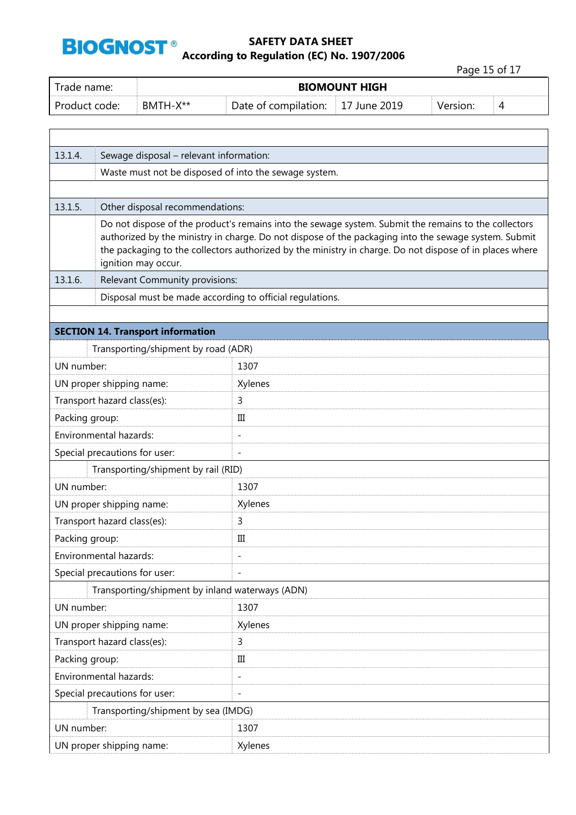

# **SAFETY DATA SHEET BIOGNOST**<sup>®</sup><br>According to Regulation (EC) No. 1907/2006

Page 15 of 17

Trade name: **BIOMOUNT HIGH** Product code: BMTH-X<sup>\*\*</sup> Date of compilation: 17 June 2019 Version: 4 13.1.4. Sewage disposal – relevant information: Waste must not be disposed of into the sewage system. 13.1.5. Other disposal recommendations: Do not dispose of the product's remains into the sewage system. Submit the remains to the collectors authorized by the ministry in charge. Do not dispose of the packaging into the sewage system. Submit the packaging to the collectors authorized by the ministry in charge. Do not dispose of in places where ignition may occur. 13.1.6. Relevant Community provisions: Disposal must be made according to official regulations. **SECTION 14. Transport information** Transporting/shipment by road (ADR) UN number: 1307 UN proper shipping name: Xylenes Transport hazard class(es): 3 Packing group: III Environmental hazards: - Special precautions for user: Transporting/shipment by rail (RID) UN number: 1307 UN proper shipping name: Xylenes Transport hazard class(es): 3 Packing group: III Environmental hazards: The contract of the set of the set of the set of the set of the set of the set of the set of the set of the set of the set of the set of the set of the set of the set of the set of the set of the set Special precautions for user: Transporting/shipment by inland waterways (ADN) UN number: 1307 UN proper shipping name: Xylenes Transport hazard class(es): 3 Packing group: III Environmental hazards: The contract of the set of the set of the set of the set of the set of the set of the set of the set of the set of the set of the set of the set of the set of the set of the set of the set of the set Special precautions for user: Transporting/shipment by sea (IMDG) UN number: 1307 UN proper shipping name: Xylenes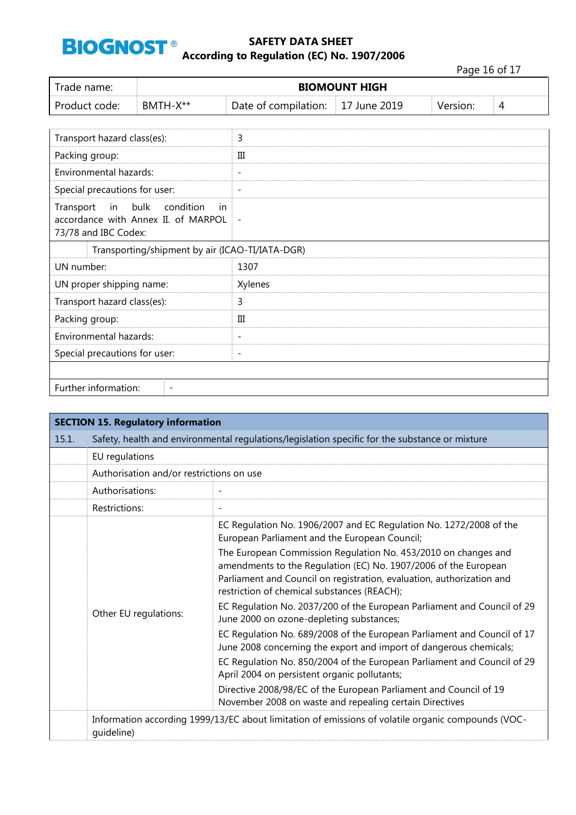

Page 16 of 17

| Trade name:   |          |                                   | <b>BIOMOUNT HIGH</b> |          |  |
|---------------|----------|-----------------------------------|----------------------|----------|--|
| Product code: | BMTH-X** | Date of compilation: 17 June 2019 |                      | Version: |  |

| Transport hazard class(es):                                                                             | 3                        |
|---------------------------------------------------------------------------------------------------------|--------------------------|
| Packing group:                                                                                          | III                      |
| Environmental hazards:                                                                                  | $\overline{\phantom{a}}$ |
| Special precautions for user:                                                                           | $\overline{\phantom{a}}$ |
| in bulk<br>condition<br>Transport<br>-in<br>accordance with Annex II. of MARPOL<br>73/78 and IBC Codex: | $\overline{\phantom{a}}$ |
| Transporting/shipment by air (ICAO-TI/IATA-DGR)                                                         |                          |
| UN number:                                                                                              | 1307                     |
| UN proper shipping name:                                                                                | Xylenes                  |
| Transport hazard class(es):                                                                             | 3                        |
| Packing group:                                                                                          | Ш                        |
| Environmental hazards:                                                                                  | $\overline{\phantom{a}}$ |
| Special precautions for user:                                                                           | $\overline{\phantom{a}}$ |
|                                                                                                         |                          |
| Further information:<br>$\overline{\phantom{a}}$                                                        |                          |

| <b>SECTION 15. Regulatory information</b> |                                                                                                                  |                                                                                                                                                                                                                                                           |  |  |
|-------------------------------------------|------------------------------------------------------------------------------------------------------------------|-----------------------------------------------------------------------------------------------------------------------------------------------------------------------------------------------------------------------------------------------------------|--|--|
| 15.1.                                     | Safety, health and environmental regulations/legislation specific for the substance or mixture                   |                                                                                                                                                                                                                                                           |  |  |
|                                           | EU regulations                                                                                                   |                                                                                                                                                                                                                                                           |  |  |
|                                           |                                                                                                                  | Authorisation and/or restrictions on use                                                                                                                                                                                                                  |  |  |
|                                           | Authorisations:                                                                                                  |                                                                                                                                                                                                                                                           |  |  |
|                                           | Restrictions:                                                                                                    |                                                                                                                                                                                                                                                           |  |  |
|                                           | Other EU regulations:                                                                                            | EC Regulation No. 1906/2007 and EC Regulation No. 1272/2008 of the<br>European Parliament and the European Council;                                                                                                                                       |  |  |
|                                           |                                                                                                                  | The European Commission Regulation No. 453/2010 on changes and<br>amendments to the Regulation (EC) No. 1907/2006 of the European<br>Parliament and Council on registration, evaluation, authorization and<br>restriction of chemical substances (REACH); |  |  |
|                                           |                                                                                                                  | EC Regulation No. 2037/200 of the European Parliament and Council of 29<br>June 2000 on ozone-depleting substances;                                                                                                                                       |  |  |
|                                           |                                                                                                                  | EC Regulation No. 689/2008 of the European Parliament and Council of 17<br>June 2008 concerning the export and import of dangerous chemicals;                                                                                                             |  |  |
|                                           |                                                                                                                  | EC Regulation No. 850/2004 of the European Parliament and Council of 29<br>April 2004 on persistent organic pollutants;                                                                                                                                   |  |  |
|                                           |                                                                                                                  | Directive 2008/98/EC of the European Parliament and Council of 19<br>November 2008 on waste and repealing certain Directives                                                                                                                              |  |  |
|                                           | Information according 1999/13/EC about limitation of emissions of volatile organic compounds (VOC-<br>quideline) |                                                                                                                                                                                                                                                           |  |  |